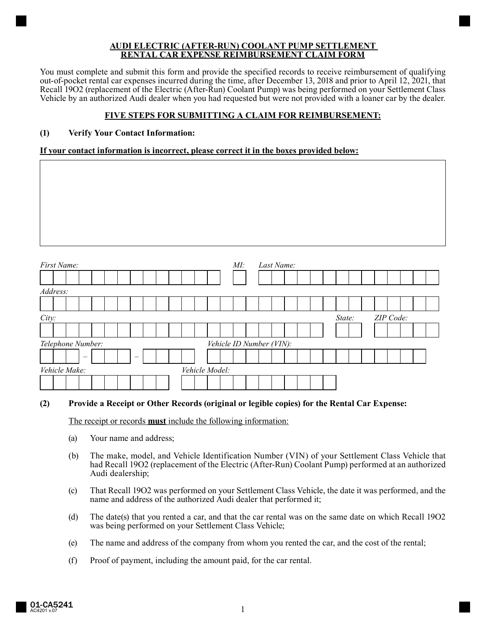#### **AUDI ELECTRIC (AFTER-RUN) COOLANT PUMP SETTLEMENT RENTAL CAR EXPENSE REIMBURSEMENT CLAIM FORM**

You must complete and submit this form and provide the specified records to receive reimbursement of qualifying out-of-pocket rental car expenses incurred during the time, after December 13, 2018 and prior to April 12, 2021, that Recall 19O2 (replacement of the Electric (After-Run) Coolant Pump) was being performed on your Settlement Class Vehicle by an authorized Audi dealer when you had requested but were not provided with a loaner car by the dealer.

# **FIVE STEPS FOR SUBMITTING A CLAIM FOR REIMBURSEMENT:**

## **(1) Verify Your Contact Information:**

## **If your contact information is incorrect, please correct it in the boxes provided below:**

| First Name:                     |                                               |  |                          |  |  |  |  |  | M! | Last Name: |  |                     |  |  |  |  |  |  |  |  |  |  |  |  |  |  |  |
|---------------------------------|-----------------------------------------------|--|--------------------------|--|--|--|--|--|----|------------|--|---------------------|--|--|--|--|--|--|--|--|--|--|--|--|--|--|--|
|                                 |                                               |  |                          |  |  |  |  |  |    |            |  |                     |  |  |  |  |  |  |  |  |  |  |  |  |  |  |  |
| Address:                        |                                               |  |                          |  |  |  |  |  |    |            |  |                     |  |  |  |  |  |  |  |  |  |  |  |  |  |  |  |
|                                 |                                               |  |                          |  |  |  |  |  |    |            |  |                     |  |  |  |  |  |  |  |  |  |  |  |  |  |  |  |
|                                 | City:                                         |  |                          |  |  |  |  |  |    |            |  | ZIP Code:<br>State: |  |  |  |  |  |  |  |  |  |  |  |  |  |  |  |
|                                 |                                               |  |                          |  |  |  |  |  |    |            |  |                     |  |  |  |  |  |  |  |  |  |  |  |  |  |  |  |
|                                 | Telephone Number:<br>Vehicle ID Number (VIN): |  |                          |  |  |  |  |  |    |            |  |                     |  |  |  |  |  |  |  |  |  |  |  |  |  |  |  |
|                                 |                                               |  | $\overline{\phantom{0}}$ |  |  |  |  |  |    |            |  |                     |  |  |  |  |  |  |  |  |  |  |  |  |  |  |  |
| Vehicle Make:<br>Vehicle Model: |                                               |  |                          |  |  |  |  |  |    |            |  |                     |  |  |  |  |  |  |  |  |  |  |  |  |  |  |  |
|                                 |                                               |  |                          |  |  |  |  |  |    |            |  |                     |  |  |  |  |  |  |  |  |  |  |  |  |  |  |  |

### **(2) Provide a Receipt or Other Records (original or legible copies) for the Rental Car Expense:**

The receipt or records **must** include the following information:

- (a) Your name and address;
- (b) The make, model, and Vehicle Identification Number (VIN) of your Settlement Class Vehicle that had Recall 19O2 (replacement of the Electric (After-Run) Coolant Pump) performed at an authorized Audi dealership;
- (c) That Recall 19O2 was performed on your Settlement Class Vehicle, the date it was performed, and the name and address of the authorized Audi dealer that performed it;
- (d) The date(s) that you rented a car, and that the car rental was on the same date on which Recall 19O2 was being performed on your Settlement Class Vehicle;
- (e) The name and address of the company from whom you rented the car, and the cost of the rental;
- (f) Proof of payment, including the amount paid, for the car rental.